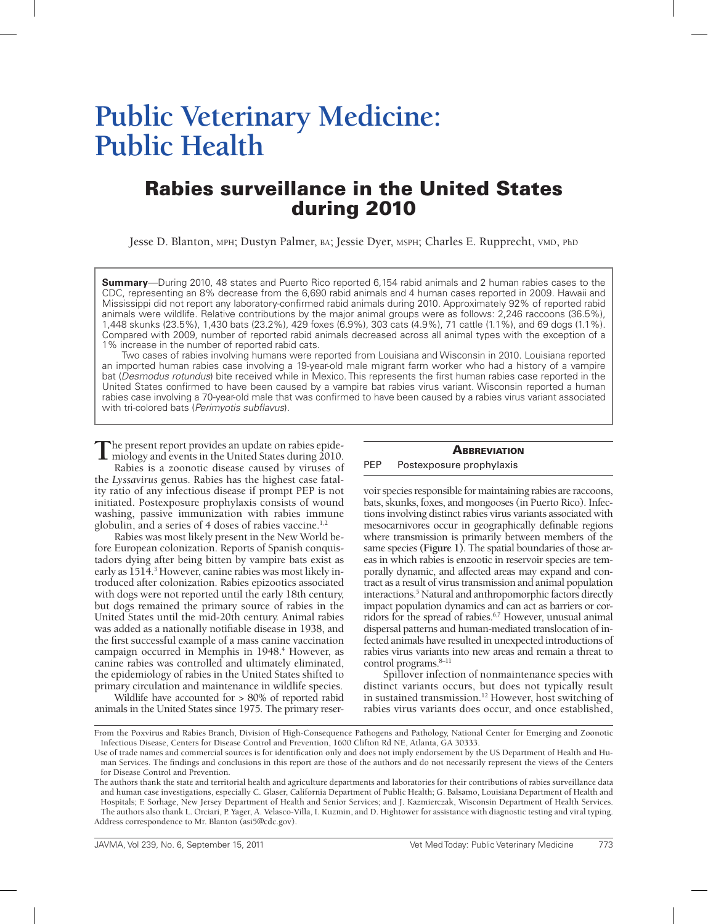# **Public Veterinary Medicine: Public Health**

# Rabies surveillance in the United States during 2010

Jesse D. Blanton, mph; Dustyn Palmer, ba; Jessie Dyer, msph; Charles E. Rupprecht, vmd, ph<sup>d</sup>

**Summary**—During 2010, 48 states and Puerto Rico reported 6,154 rabid animals and 2 human rabies cases to the CDC, representing an 8% decrease from the 6,690 rabid animals and 4 human cases reported in 2009. Hawaii and Mississippi did not report any laboratory-confirmed rabid animals during 2010. Approximately 92% of reported rabid animals were wildlife. Relative contributions by the major animal groups were as follows: 2,246 raccoons (36.5%), 1,448 skunks (23.5%), 1,430 bats (23.2%), 429 foxes (6.9%), 303 cats (4.9%), 71 cattle (1.1%), and 69 dogs (1.1%). Compared with 2009, number of reported rabid animals decreased across all animal types with the exception of a 1% increase in the number of reported rabid cats.

Two cases of rabies involving humans were reported from Louisiana and Wisconsin in 2010. Louisiana reported an imported human rabies case involving a 19-year-old male migrant farm worker who had a history of a vampire bat (*Desmodus rotundus*) bite received while in Mexico. This represents the first human rabies case reported in the United States confirmed to have been caused by a vampire bat rabies virus variant. Wisconsin reported a human rabies case involving a 70-year-old male that was confirmed to have been caused by a rabies virus variant associated with tri-colored bats (*Perimyotis subflavus*).

The present report provides an update on rabies epide-<br>miology and events in the United States during 2010.

Rabies is a zoonotic disease caused by viruses of the *Lyssavirus* genus. Rabies has the highest case fatality ratio of any infectious disease if prompt PEP is not initiated. Postexposure prophylaxis consists of wound washing, passive immunization with rabies immune globulin, and a series of 4 doses of rabies vaccine.<sup>1,2</sup>

Rabies was most likely present in the New World before European colonization. Reports of Spanish conquistadors dying after being bitten by vampire bats exist as early as 1514.<sup>3</sup> However, canine rabies was most likely introduced after colonization. Rabies epizootics associated with dogs were not reported until the early 18th century, but dogs remained the primary source of rabies in the United States until the mid-20th century. Animal rabies was added as a nationally notifiable disease in 1938, and the first successful example of a mass canine vaccination campaign occurred in Memphis in 1948.<sup>4</sup> However, as canine rabies was controlled and ultimately eliminated, the epidemiology of rabies in the United States shifted to primary circulation and maintenance in wildlife species.

Wildlife have accounted for > 80% of reported rabid animals in the United States since 1975. The primary reser-

#### **ABBREVIATION**

#### PEP Postexposure prophylaxis

voir species responsible for maintaining rabies are raccoons, bats, skunks, foxes, and mongooses (in Puerto Rico). Infections involving distinct rabies virus variants associated with mesocarnivores occur in geographically definable regions where transmission is primarily between members of the same species **(Figure 1)**. The spatial boundaries of those areas in which rabies is enzootic in reservoir species are temporally dynamic, and affected areas may expand and contract as a result of virus transmission and animal population interactions.<sup>5</sup> Natural and anthropomorphic factors directly impact population dynamics and can act as barriers or corridors for the spread of rabies.6,7 However, unusual animal dispersal patterns and human-mediated translocation of infected animals have resulted in unexpected introductions of rabies virus variants into new areas and remain a threat to control programs.<sup>8-11</sup>

Spillover infection of nonmaintenance species with distinct variants occurs, but does not typically result in sustained transmission.12 However, host switching of rabies virus variants does occur, and once established,

From the Poxvirus and Rabies Branch, Division of High-Consequence Pathogens and Pathology, National Center for Emerging and Zoonotic Infectious Disease, Centers for Disease Control and Prevention, 1600 Clifton Rd NE, Atlanta, GA 30333.

Use of trade names and commercial sources is for identification only and does not imply endorsement by the US Department of Health and Human Services. The findings and conclusions in this report are those of the authors and do not necessarily represent the views of the Centers for Disease Control and Prevention.

The authors thank the state and territorial health and agriculture departments and laboratories for their contributions of rabies surveillance data and human case investigations, especially C. Glaser, California Department of Public Health; G. Balsamo, Louisiana Department of Health and Hospitals; F. Sorhage, New Jersey Department of Health and Senior Services; and J. Kazmierczak, Wisconsin Department of Health Services. The authors also thank L. Orciari, P. Yager, A. Velasco-Villa, I. Kuzmin, and D. Hightower for assistance with diagnostic testing and viral typing. Address correspondence to Mr. Blanton (asi5@cdc.gov).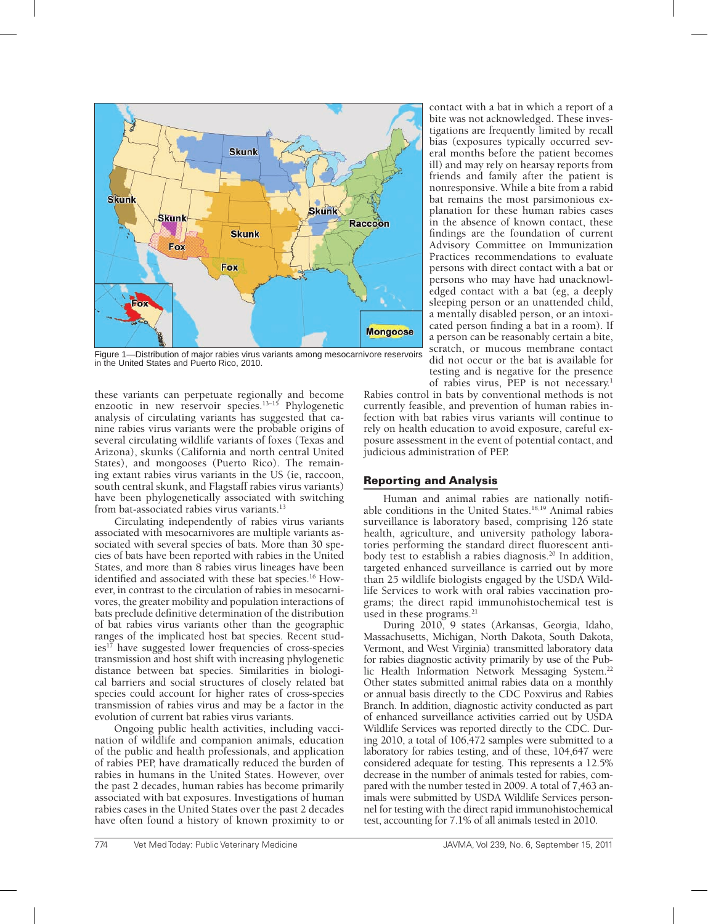

Figure 1—Distribution of major rabies virus variants among mesocarnivore reservoirs in the United States and Puerto Rico, 2010.

these variants can perpetuate regionally and become enzootic in new reservoir species.13–15 Phylogenetic analysis of circulating variants has suggested that canine rabies virus variants were the probable origins of several circulating wildlife variants of foxes (Texas and Arizona), skunks (California and north central United States), and mongooses (Puerto Rico). The remaining extant rabies virus variants in the US (ie, raccoon, south central skunk, and Flagstaff rabies virus variants) have been phylogenetically associated with switching from bat-associated rabies virus variants.<sup>13</sup>

Circulating independently of rabies virus variants associated with mesocarnivores are multiple variants associated with several species of bats. More than 30 species of bats have been reported with rabies in the United States, and more than 8 rabies virus lineages have been identified and associated with these bat species.<sup>16</sup> However, in contrast to the circulation of rabies in mesocarnivores, the greater mobility and population interactions of bats preclude definitive determination of the distribution of bat rabies virus variants other than the geographic ranges of the implicated host bat species. Recent studies<sup>17</sup> have suggested lower frequencies of cross-species transmission and host shift with increasing phylogenetic distance between bat species. Similarities in biological barriers and social structures of closely related bat species could account for higher rates of cross-species transmission of rabies virus and may be a factor in the evolution of current bat rabies virus variants.

Ongoing public health activities, including vaccination of wildlife and companion animals, education of the public and health professionals, and application of rabies PEP, have dramatically reduced the burden of rabies in humans in the United States. However, over the past 2 decades, human rabies has become primarily associated with bat exposures. Investigations of human rabies cases in the United States over the past 2 decades have often found a history of known proximity to or

contact with a bat in which a report of a bite was not acknowledged. These investigations are frequently limited by recall bias (exposures typically occurred several months before the patient becomes ill) and may rely on hearsay reports from friends and family after the patient is nonresponsive. While a bite from a rabid bat remains the most parsimonious explanation for these human rabies cases in the absence of known contact, these findings are the foundation of current Advisory Committee on Immunization Practices recommendations to evaluate persons with direct contact with a bat or persons who may have had unacknowledged contact with a bat (eg, a deeply sleeping person or an unattended child, a mentally disabled person, or an intoxicated person finding a bat in a room). If a person can be reasonably certain a bite, scratch, or mucous membrane contact did not occur or the bat is available for testing and is negative for the presence of rabies virus, PEP is not necessary.1

Rabies control in bats by conventional methods is not currently feasible, and prevention of human rabies infection with bat rabies virus variants will continue to rely on health education to avoid exposure, careful exposure assessment in the event of potential contact, and judicious administration of PEP.

# Reporting and Analysis

Human and animal rabies are nationally notifiable conditions in the United States.<sup>18,19</sup> Animal rabies surveillance is laboratory based, comprising 126 state health, agriculture, and university pathology laboratories performing the standard direct fluorescent antibody test to establish a rabies diagnosis.<sup>20</sup> In addition, targeted enhanced surveillance is carried out by more than 25 wildlife biologists engaged by the USDA Wildlife Services to work with oral rabies vaccination programs; the direct rapid immunohistochemical test is used in these programs.<sup>21</sup>

During 2010, 9 states (Arkansas, Georgia, Idaho, Massachusetts, Michigan, North Dakota, South Dakota, Vermont, and West Virginia) transmitted laboratory data for rabies diagnostic activity primarily by use of the Public Health Information Network Messaging System.<sup>22</sup> Other states submitted animal rabies data on a monthly or annual basis directly to the CDC Poxvirus and Rabies Branch. In addition, diagnostic activity conducted as part of enhanced surveillance activities carried out by USDA Wildlife Services was reported directly to the CDC. During 2010, a total of 106,472 samples were submitted to a laboratory for rabies testing, and of these, 104,647 were considered adequate for testing. This represents a 12.5% decrease in the number of animals tested for rabies, compared with the number tested in 2009. A total of 7,463 animals were submitted by USDA Wildlife Services personnel for testing with the direct rapid immunohistochemical test, accounting for 7.1% of all animals tested in 2010.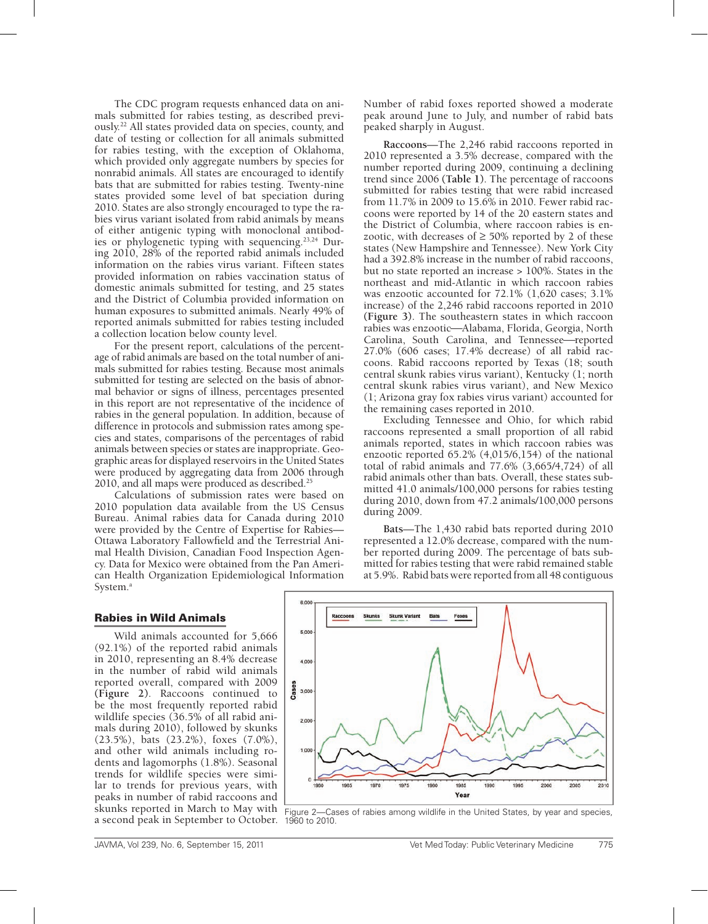The CDC program requests enhanced data on animals submitted for rabies testing, as described previously.22 All states provided data on species, county, and date of testing or collection for all animals submitted for rabies testing, with the exception of Oklahoma, which provided only aggregate numbers by species for nonrabid animals. All states are encouraged to identify bats that are submitted for rabies testing. Twenty-nine states provided some level of bat speciation during 2010. States are also strongly encouraged to type the rabies virus variant isolated from rabid animals by means of either antigenic typing with monoclonal antibodies or phylogenetic typing with sequencing.<sup>23,24</sup> During 2010, 28% of the reported rabid animals included information on the rabies virus variant. Fifteen states provided information on rabies vaccination status of domestic animals submitted for testing, and 25 states and the District of Columbia provided information on human exposures to submitted animals. Nearly 49% of reported animals submitted for rabies testing included a collection location below county level.

For the present report, calculations of the percentage of rabid animals are based on the total number of animals submitted for rabies testing. Because most animals submitted for testing are selected on the basis of abnormal behavior or signs of illness, percentages presented in this report are not representative of the incidence of rabies in the general population. In addition, because of difference in protocols and submission rates among species and states, comparisons of the percentages of rabid animals between species or states are inappropriate. Geographic areas for displayed reservoirs in the United States were produced by aggregating data from 2006 through 2010, and all maps were produced as described.<sup>25</sup>

Calculations of submission rates were based on 2010 population data available from the US Census Bureau. Animal rabies data for Canada during 2010 were provided by the Centre of Expertise for Rabies— Ottawa Laboratory Fallowfield and the Terrestrial Animal Health Division, Canadian Food Inspection Agency. Data for Mexico were obtained from the Pan American Health Organization Epidemiological Information System.<sup>a</sup>

Number of rabid foxes reported showed a moderate peak around June to July, and number of rabid bats peaked sharply in August.

**Raccoons**—The 2,246 rabid raccoons reported in 2010 represented a 3.5% decrease, compared with the number reported during 2009, continuing a declining trend since 2006 **(Table 1)**. The percentage of raccoons submitted for rabies testing that were rabid increased from 11.7% in 2009 to 15.6% in 2010. Fewer rabid raccoons were reported by 14 of the 20 eastern states and the District of Columbia, where raccoon rabies is enzootic, with decreases of  $\geq$  50% reported by 2 of these states (New Hampshire and Tennessee). New York City had a 392.8% increase in the number of rabid raccoons, but no state reported an increase > 100%. States in the northeast and mid-Atlantic in which raccoon rabies was enzootic accounted for 72.1% (1,620 cases; 3.1% increase) of the 2,246 rabid raccoons reported in 2010 **(Figure 3)**. The southeastern states in which raccoon rabies was enzootic—Alabama, Florida, Georgia, North Carolina, South Carolina, and Tennessee-reported 27.0% (606 cases; 17.4% decrease) of all rabid raccoons. Rabid raccoons reported by Texas (18; south central skunk rabies virus variant), Kentucky (1; north central skunk rabies virus variant), and New Mexico (1; Arizona gray fox rabies virus variant) accounted for the remaining cases reported in 2010.

Excluding Tennessee and Ohio, for which rabid raccoons represented a small proportion of all rabid animals reported, states in which raccoon rabies was enzootic reported 65.2% (4,015/6,154) of the national total of rabid animals and 77.6% (3,665/4,724) of all rabid animals other than bats. Overall, these states submitted 41.0 animals/100,000 persons for rabies testing during 2010, down from 47.2 animals/100,000 persons during 2009.

**Bats**—The 1,430 rabid bats reported during 2010 represented a 12.0% decrease, compared with the number reported during 2009. The percentage of bats submitted for rabies testing that were rabid remained stable at 5.9%. Rabid bats were reported from all 48 contiguous

# Rabies in Wild Animals

Wild animals accounted for 5,666 (92.1%) of the reported rabid animals in 2010, representing an 8.4% decrease in the number of rabid wild animals reported overall, compared with 2009 **(Figure 2)**. Raccoons continued to be the most frequently reported rabid wildlife species (36.5% of all rabid animals during 2010), followed by skunks (23.5%), bats (23.2%), foxes (7.0%), and other wild animals including rodents and lagomorphs (1.8%). Seasonal trends for wildlife species were similar to trends for previous years, with peaks in number of rabid raccoons and skunks reported in March to May with a second peak in September to October. 1960 to 2010.



Figure 2—Cases of rabies among wildlife in the United States, by year and species,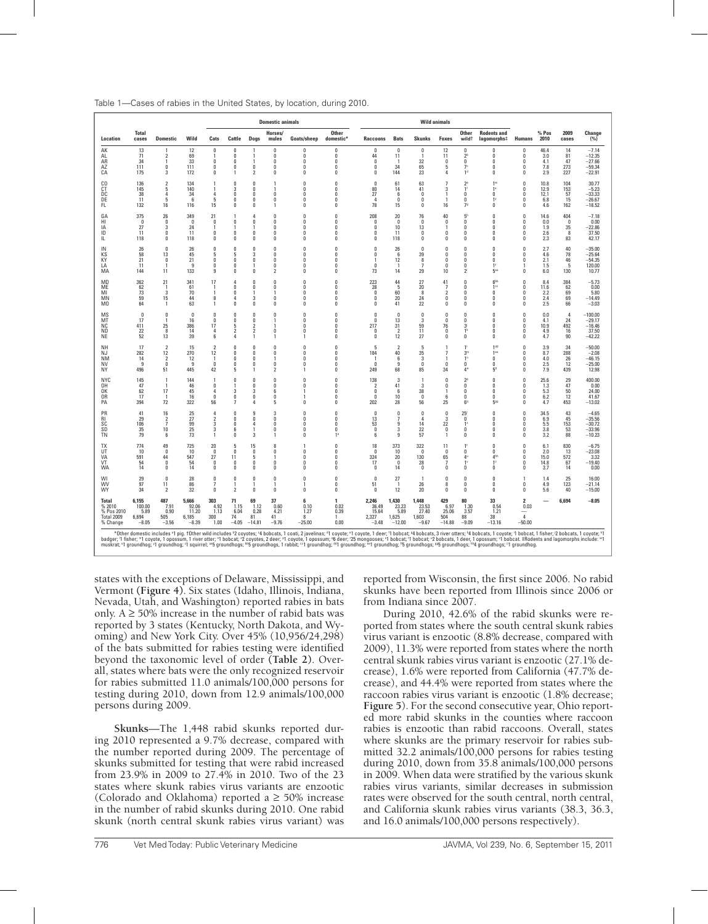| Table 1—Cases of rabies in the United States, by location, during 2010. |  |
|-------------------------------------------------------------------------|--|
|-------------------------------------------------------------------------|--|

|                                                                                                                                                                                                                                                                                                                                                                                                                                                                                                                                                                                                                                                                                                   |                                             |                                                                   |                                             |                                                         |                                                  |                                                                              | <b>Domestic animals</b>                                           |                                                           |                                                                            | <b>Wild animals</b>                                         |                                              |                                              |                                                                    |                                                                          |                                                                               |                                                                      |                                    |                                         |                                                         |
|---------------------------------------------------------------------------------------------------------------------------------------------------------------------------------------------------------------------------------------------------------------------------------------------------------------------------------------------------------------------------------------------------------------------------------------------------------------------------------------------------------------------------------------------------------------------------------------------------------------------------------------------------------------------------------------------------|---------------------------------------------|-------------------------------------------------------------------|---------------------------------------------|---------------------------------------------------------|--------------------------------------------------|------------------------------------------------------------------------------|-------------------------------------------------------------------|-----------------------------------------------------------|----------------------------------------------------------------------------|-------------------------------------------------------------|----------------------------------------------|----------------------------------------------|--------------------------------------------------------------------|--------------------------------------------------------------------------|-------------------------------------------------------------------------------|----------------------------------------------------------------------|------------------------------------|-----------------------------------------|---------------------------------------------------------|
| Location                                                                                                                                                                                                                                                                                                                                                                                                                                                                                                                                                                                                                                                                                          | <b>Total</b><br>cases                       | <b>Domestic</b>                                                   | Wild                                        | Cats                                                    | Cattle                                           | Dogs                                                                         | Horses/<br>mules                                                  | Goats/sheep                                               | <b>Other</b><br>domestic*                                                  | <b>Raccoons</b>                                             | <b>Bats</b>                                  | <b>Skunks</b>                                | Foxes                                                              | <b>Other</b><br>wild <sup>+</sup>                                        | <b>Rodents and</b><br>lagomorphs‡                                             | <b>Humans</b>                                                        | % Pos<br>2010                      | 2009<br>cases                           | Change<br>(%)                                           |
| AK<br>AL<br>AR<br>AZ<br>СA                                                                                                                                                                                                                                                                                                                                                                                                                                                                                                                                                                                                                                                                        | 13<br>71<br>34<br>111<br>175                | -1<br>$\mathfrak{p}$<br>-1<br>$\mathbf{0}$<br>3                   | 12<br>69<br>33<br>111<br>172                | 0<br>$\theta$<br>0<br>0                                 | $\mathbf{0}$<br>$\sqrt{ }$<br>0<br>0<br>-1       | -1<br>1<br>-1<br>0<br>$\overline{2}$                                         | $\Omega$<br>$\Omega$<br>$\theta$<br>0<br>0                        | $\mathbf{0}$<br>$\sqrt{2}$<br>$\Omega$<br>0<br>0          | $\mathbf{0}$<br>$\sqrt{ }$<br>$\mathbf{0}$<br>$\mathbf{0}$<br>$\mathbf{0}$ | $\Omega$<br>44<br>$\mathbf{0}$<br>0<br>0                    | $\mathbf{0}$<br>11<br>34<br>144              | 0<br>32<br>65<br>23                          | 12<br>11<br>$\mathbf{0}$<br>5<br>4                                 | 0<br>2 <sup>b</sup><br>$\theta$<br>7 <sup>c</sup><br>1 <sup>d</sup>      | 0<br>$\sqrt{ }$<br>$\Omega$<br>0<br>0                                         | 0<br>$\Omega$<br>$\theta$<br>0<br>0                                  | 46.4<br>3.0<br>4.1<br>7.8<br>2.9   | 14<br>81<br>47<br>273<br>227            | $-7.14$<br>$-12.35$<br>$-27.66$<br>$-59.34$<br>$-22.91$ |
| C <sub>0</sub><br>СT<br>DC<br>DE<br>FL                                                                                                                                                                                                                                                                                                                                                                                                                                                                                                                                                                                                                                                            | 136<br>145<br>38<br>11<br>132               | $\overline{2}$<br>5<br>4<br>5<br>16                               | 134<br>140<br>34<br>-6<br>116               | $\mathbf{1}$<br>4<br>5<br>15                            | $\mathbf{0}$<br>3<br>0<br>$\mathbf{0}$<br>0      | $\theta$<br>$\theta$<br>0<br>$\mathbf{0}$<br>$\mathbf{0}$                    | 1<br>1<br>0<br>$\Omega$<br>1                                      | $\theta$<br>$\sqrt{ }$<br>n<br>n<br>$\Omega$              | $\Omega$<br>$\Omega$<br>n<br>$\mathsf{n}$<br>$\mathbf{0}$                  | $\mathbf{0}$<br>80<br>27<br>$\Delta$<br>78                  | 61<br>14<br>6<br>$\Omega$<br>15              | 63<br>41<br>$\Omega$<br>$\Omega$<br>0        | $\overline{7}$<br>3<br>-1<br>16                                    | 2 <sup>e</sup><br>1<br>0<br>$\mathbf{0}$<br>7 <sup>9</sup>               | 1 <sup>w</sup><br>1 <sup>x</sup><br>0<br>-11<br>0                             | $\bf{0}$<br>0<br>0<br>$\mathbf{0}$<br>$\theta$                       | 10.8<br>12.9<br>12.1<br>6.8<br>4.6 | 104<br>153<br>57<br>15<br>162           | 30.77<br>$-5.23$<br>$-33.33$<br>$-26.67$<br>$-18.52$    |
| GA<br>HI<br>ΙA<br>ID<br>IL                                                                                                                                                                                                                                                                                                                                                                                                                                                                                                                                                                                                                                                                        | 375<br>$\Omega$<br>27<br>11<br>118          | 26<br>$\Omega$<br>3<br>$\Omega$<br>$\theta$                       | 349<br>$\Omega$<br>24<br>11<br>118          | 21<br>0<br>-1<br>n<br>n                                 | 1<br>0<br>-1<br>$\mathbf{0}$<br>$\theta$         | 4<br>0<br>-1<br>$\mathbf{0}$<br>$\theta$                                     | $\mathbf{0}$<br>$\Omega$<br>$\Omega$<br>$\theta$<br>$\theta$      | $\mathbb O$<br>$\mathbf{0}$<br>n<br>n<br>$\theta$         | $\Omega$<br>$\mathbf{0}$<br>$\mathsf{n}$<br>$\mathbf{0}$<br>$\mathbf{0}$   | 208<br>0<br>$\Omega$<br>$\mathbf{0}$<br>$\theta$            | 20<br>$\Omega$<br>10<br>11<br>118            | 76<br>$\mathbf{0}$<br>13<br>$\Omega$<br>0    | 40<br>0<br>-1<br>$\mathbf{0}$<br>$\mathbf{0}$                      | 5 <sup>h</sup><br>0<br>$\theta$<br>$\theta$<br>$\theta$                  | $\Omega$<br>$\Omega$<br>$\sqrt{ }$<br>$\Omega$<br>$\Omega$                    | $\theta$<br>$\mathbf{0}$<br>0<br>0<br>0                              | 14.6<br>0.0<br>1.9<br>2.6<br>2.3   | 404<br>$\mathbf{0}$<br>35<br>8<br>83    | $-7.18$<br>0.00<br>$-22.86$<br>37.50<br>42.17           |
| IN<br>KS<br>KY<br>LA<br>ΜA                                                                                                                                                                                                                                                                                                                                                                                                                                                                                                                                                                                                                                                                        | 26<br>58<br>21<br>11<br>144                 | $\Omega$<br>13<br>0<br>11                                         | 26<br>45<br>21<br>9<br>133                  | $\Omega$<br>5<br>n<br>O<br>9                            | 0<br>5<br>n<br>O<br>0                            | $\mathbf{0}$<br>3<br>$\theta$<br>$\Omega$                                    | $\theta$<br>$\Omega$<br>$\theta$<br>$\mathbf{0}$<br>$\mathfrak z$ | $\theta$<br>n<br>n<br>$\mathbf{0}$<br>0                   | $\mathsf{n}$<br>$\mathsf{n}$<br>n<br>n<br>$\Omega$                         | 0<br>$\mathbf{0}$<br>$\mathbf{1}$<br>$\Omega$<br>73         | 26<br>-6<br>12<br>14                         | $\Omega$<br>39<br>8<br>29                    | $\mathbf{0}$<br>$\mathbf{0}$<br>$\mathbf{0}$<br>$\mathbf{0}$<br>10 | $\theta$<br>$\theta$<br>$\theta$<br>$\mathbf{0}$<br>$2^{i}$              | $\mathbf{0}$<br>$\mathbf{0}$<br>$\Omega$<br>1 <sup>2</sup><br>5 <sup>2</sup>  | 0<br>$\mathbf{0}$<br>$\mathbf{0}$<br>$\mathbf{0}$                    | 2.7<br>4.6<br>2.1<br>1.5<br>6.0    | 40<br>78<br>46<br>5<br>130              | $-35.00$<br>$-25.64$<br>$-54.35$<br>120.00<br>10.77     |
| MD<br>ME<br>MI<br><b>MN</b><br>M <sub>0</sub>                                                                                                                                                                                                                                                                                                                                                                                                                                                                                                                                                                                                                                                     | 362<br>62<br>73<br>59<br>64                 | 21<br>$\mathbf{1}$<br>3<br>15<br>-1                               | 341<br>61<br>70<br>44<br>63                 | 17<br>-1<br>8<br>-1                                     | 4<br>$\mathbf{0}$<br>0<br>Δ<br>0                 | $\theta$<br>$\mathbf{0}$<br>3<br>0                                           | $\theta$<br>$\theta$<br>$\mathbf{0}$<br>0                         | $\theta$<br>$\sqrt{ }$<br>n<br>n<br>$\mathbf{0}$          | $\mathbf{0}$<br>$\mathbf{0}$<br>n<br>$\mathsf{n}$<br>$\mathbf{0}$          | 223<br>28<br>0<br>0<br>0                                    | 44<br>5<br>60<br>20<br>41                    | 27<br>20<br>8<br>24<br>22                    | 41<br>$\overline{7}$<br>2<br>$\mathbf{0}$<br>0                     | $\theta$<br>$\theta$<br>$\mathbf{0}$<br>0<br>0                           | 6 <sup>bb</sup><br>1 <sup>cc</sup><br>0<br>$\Omega$<br>0                      | 0<br>0<br>$\mathbf{0}$<br>0<br>0                                     | 8.4<br>11.6<br>2.2<br>2.4<br>2.5   | 384<br>62<br>69<br>69<br>66             | $-5.73$<br>0.00<br>5.80<br>$-14.49$<br>$-3.03$          |
| MS<br>МT<br>ΝC<br><b>ND</b><br><b>NE</b>                                                                                                                                                                                                                                                                                                                                                                                                                                                                                                                                                                                                                                                          | $\mathbf{0}$<br>17<br>411<br>22<br>52       | 0<br>$\mathbf{1}$<br>25<br>8<br>13                                | $\theta$<br>16<br>386<br>14<br>39           | $\Omega$<br>n<br>17<br>4<br>6                           | $\mathbf{0}$<br>0<br>5<br>$\mathfrak z$<br>4     | $\mathbf{0}$<br>$\Omega$<br>$\overline{2}$<br>$\overline{2}$<br>$\mathbf{1}$ | 0<br>1<br>-1<br>0<br>1                                            | $\theta$<br>n<br>n<br>$\Omega$<br>1                       | $\Omega$<br>$\Omega$<br>$\Omega$<br>$\mathbf{0}$<br>$\mathbf{0}$           | $\mathbf{0}$<br>0<br>217<br>$\mathbf{0}$<br>$\mathbf{0}$    | $\Omega$<br>13<br>31<br>$\overline{2}$<br>12 | 0<br>3<br>59<br>11<br>27                     | $\theta$<br>0<br>76<br>$\mathbf{0}$<br>$\mathbf{0}$                | $\theta$<br>$\mathbf{0}$<br>3 <sup>i</sup><br>1 <sup>k</sup><br>$\theta$ | $\Omega$<br>$\Omega$<br>$\mathbf{0}$<br>$\Omega$<br>$\Omega$                  | $\theta$<br>$\mathbf{0}$<br>0<br>0<br>0                              | 0.0<br>4.1<br>10.9<br>4.9<br>4.7   | $\overline{4}$<br>24<br>492<br>16<br>90 | $-100.00$<br>$-29.17$<br>$-16.46$<br>37.50<br>$-42.22$  |
| NH<br>N.I<br><b>NM</b><br>NV<br>NY                                                                                                                                                                                                                                                                                                                                                                                                                                                                                                                                                                                                                                                                | 17<br>282<br>14<br>q<br>496                 | $\overline{2}$<br>12<br>$\overline{2}$<br>0<br>51                 | 15<br>270<br>12<br>q<br>445                 | 2<br>12<br>-1<br>$\mathbf{0}$<br>42                     | O<br>-0<br>0<br>0<br>5                           | 0<br>$\Omega$<br>$\Omega$<br>$\theta$<br>1                                   | 0<br>$\Omega$<br>1<br>$\theta$<br>$\overline{\phantom{a}}$        | $\theta$<br>n<br>n<br>$\Omega$<br>1                       | n<br>$\mathsf{n}$<br>$\mathbf{0}$<br>$\mathbf{0}$<br>$\theta$              | 5<br>184<br>$\mathbf{1}$<br>$\Omega$<br>249                 | 2<br>40<br>6<br>q<br>68                      | 5<br>35<br>3<br>$\Omega$<br>85               | 7<br>-1<br>$\mathbf{0}$<br>34                                      | 1<br>3 <sup>π</sup><br>1 <sup>n</sup><br>0<br>$4^\circ$                  | 1 <sup>dd</sup><br>1 <sup>ec</sup><br>$\Omega$<br>$\Omega$<br>5 <sup>ii</sup> | 0<br>$\mathbf{0}$<br>$\mathbf{0}$<br>$\mathbf{0}$<br>$\theta$        | 3.9<br>8.7<br>4.0<br>2.5<br>7.9    | 34<br>288<br>26<br>12<br>439            | $-50.00$<br>$-2.08$<br>$-46.15$<br>$-25.00$<br>12.98    |
| <b>NYC</b><br>0H<br>0K<br>0R<br>PA                                                                                                                                                                                                                                                                                                                                                                                                                                                                                                                                                                                                                                                                | 145<br>47<br>62<br>17<br>394                | $\mathbf{1}$<br>17<br>72                                          | 144<br>46<br>45<br>16<br>322                | $\Omega$<br>$\Omega$<br>56                              | 0<br>-1<br>3<br>0<br>-7                          | n<br>$\theta$<br>3<br>$\theta$<br>4                                          | $\Omega$<br>$\theta$<br>6<br>0<br>5                               | $\Omega$<br>$\theta$<br>0                                 | $\sqrt{ }$<br>$\mathbf{0}$<br>$\Omega$<br>n<br>$\mathbf{0}$                | 138<br>$\overline{\phantom{a}}$<br>0<br>$\mathbf{0}$<br>202 | 3<br>41<br>6<br>10<br>28                     | 3<br>38<br>n<br>56                           | n<br>$\mathbf{0}$<br>6<br>25                                       | 2 <sup>p</sup><br>0<br>$\theta$<br>$\theta$<br>6 <sup>q</sup>            | $\mathbf{0}$<br>$\Omega$<br>$\Omega$<br>0<br>5 <sup>99</sup>                  | 0<br>0<br>$\mathbf{0}$<br>$\mathbf{0}$<br>$\mathbf{0}$               | 25.6<br>1.3<br>5.3<br>6.2<br>4.7   | 29<br>47<br>50<br>12<br>453             | 400.00<br>0.00<br>24.00<br>41.67<br>$-13.02$            |
| PR<br>RI<br>SC<br>SD<br><b>TN</b>                                                                                                                                                                                                                                                                                                                                                                                                                                                                                                                                                                                                                                                                 | 41<br>29<br>106<br>35<br>79                 | 16<br>$\overline{\phantom{a}}$<br>$\overline{7}$<br>10<br>$6^{1}$ | 25<br>27<br>99<br>25<br>73                  | Δ<br>$\overline{\phantom{a}}$<br>3<br>3<br>$\mathbf{1}$ | $\mathbf{0}$<br>0<br>$\sqrt{ }$<br>6<br>$\Omega$ | 9<br>$\theta$<br>4<br>1<br>3                                                 | 3<br>0<br>n<br>$\mathbf{0}$<br>1                                  | $\sqrt{ }$<br>$\theta$<br>n<br>n<br>$\mathbf{0}$          | $\mathbf{0}$<br>$\Omega$<br>$\mathsf{n}$<br>$\mathsf{n}$<br>1 <sup>s</sup> | $\mathbf{0}$<br>13<br>53<br>$\Omega$<br>6                   | $\mathbf{0}$<br>9<br>3<br>9                  | 0<br>14<br>22<br>57                          | $\mathbf{0}$<br>3<br>22<br>$\mathbf{0}$<br>$\overline{1}$          | 25<br>$\theta$<br>1 <sup>s</sup><br>$\mathbf{0}$<br>$\theta$             | $\Omega$<br>$\Omega$<br>$\sqrt{ }$<br>$\Omega$<br>$\Omega$                    | 0<br>$\mathbf{0}$<br>0<br>$\Omega$<br>0                              | 34.5<br>6.9<br>5.5<br>3.8<br>3.2   | 43<br>45<br>153<br>53<br>88             | $-4.65$<br>$-35.56$<br>$-30.72$<br>$-33.96$<br>$-10.23$ |
| <b>TX</b><br>UT<br>VA<br>VT<br><b>WA</b>                                                                                                                                                                                                                                                                                                                                                                                                                                                                                                                                                                                                                                                          | 774<br>10<br>591<br>54<br>14                | 49<br>n<br>44<br>0<br>$\theta$                                    | 725<br>10<br>547<br>54<br>14                | 20<br>n<br>27<br>$\Omega$<br>0                          | 5<br>n<br>11<br>0<br>0                           | 15<br>$\Omega$<br>5<br>$\Omega$<br>0                                         | 8<br>$\Omega$<br>1<br>$\mathbf{0}$<br>$\theta$                    | $\mathbf{1}$<br>$\Omega$<br>$\Omega$<br>n<br>$\mathbf{0}$ | $\theta$<br>$\mathbf{0}$<br>$\mathbf{0}$<br>$\mathbf{0}$<br>$\Omega$       | 18<br>$\Omega$<br>324<br>17<br>$\mathbf{0}$                 | 373<br>10<br>20<br>$\Omega$<br>14            | 322<br>$\mathbf{0}$<br>130<br>28<br>$\Omega$ | 11<br>$\mathbf{0}$<br>65<br>$\overline{7}$<br>$\mathbf{0}$         | $\mathbf{1}$<br>$\mathbf{0}$<br>$4^{\circ}$<br>$1^{\circ}$<br>$\theta$   | $\Omega$<br>$\Omega$<br>4ht<br>$1^{\circ}$<br>$\Omega$                        | $\theta$<br>$\mathbf{0}$<br>$\mathbf{0}$<br>$\mathbf{0}$<br>$\theta$ | 6.1<br>2.0<br>15.0<br>14.8<br>3.7  | 830<br>13<br>572<br>67<br>14            | $-6.75$<br>$-23.08$<br>3.32<br>$-19.40$<br>0.00         |
| WI<br><b>WV</b><br>WY                                                                                                                                                                                                                                                                                                                                                                                                                                                                                                                                                                                                                                                                             | 29<br>97<br>34                              | $\theta$<br>11<br>$\overline{2}$                                  | 28<br>86<br>32                              | $\Omega$<br>7<br>0                                      | $\mathbf{0}$<br>-1<br>$\overline{2}$             | $\Omega$<br>т<br>$\mathbf{0}$                                                | $\mathbf{0}$<br>1<br>0                                            | $\mathbf{0}$<br>$\mathbf{0}$                              | $\sqrt{ }$<br>$\mathbf{0}$<br>$\Omega$                                     | $\Omega$<br>51<br>$\mathbf{0}$                              | 27<br>-1<br>12                               | $\mathbf{1}$<br>26<br>20                     | $\mathbf{0}$<br>8<br>0                                             | $\theta$<br>0<br>$\theta$                                                | $\Omega$<br>$\Omega$<br>$\Omega$                                              | 0<br>0                                                               | 1.4<br>4.9<br>5.6                  | 25<br>123<br>40                         | 16.00<br>$-21.14$<br>$-15.00$                           |
| <b>Total</b><br>% 2010<br>% Pos 2010<br>Total 2009<br>% Change                                                                                                                                                                                                                                                                                                                                                                                                                                                                                                                                                                                                                                    | 6,155<br>100.00<br>5.89<br>6,694<br>$-8.05$ | 487<br>7.91<br>0.90<br>505<br>$-3.56$                             | 5,666<br>92.06<br>11.20<br>6,185<br>$-8.39$ | 303<br>4.92<br>1.13<br>300<br>1.00                      | 71<br>1.15<br>6.04<br>74<br>$-4.05$              | 69<br>1.12<br>0.28<br>81<br>$-14.81$                                         | 37<br>0.60<br>4.21<br>41<br>$-9.76$                               | 6<br>0.10<br>1.27<br>8<br>$-25.00$                        | $\mathbf{1}$<br>0.02<br>0.39<br>0.00                                       | 2,246<br>36.49<br>15.64<br>2,327<br>$-3.48$                 | 1,430<br>23.23<br>5.89<br>1,625<br>$-12.00$  | 1,448<br>23.53<br>27.40<br>1,603<br>$-9.67$  | 429<br>6.97<br>25.06<br>504<br>$-14.88$                            | 80<br>1.30<br>3.57<br>88<br>$-9.09$                                      | 33<br>0.54<br>1.21<br>38<br>$-13.16$                                          | $\overline{2}$<br>0.03<br>$\equiv$<br>$\overline{4}$<br>$-50.00$     |                                    | 6,694                                   | $-8.05$                                                 |
| *Other domestic includes *1 pig. †Other wild includes *2 coyotes; *4 bobcats, 1 coati, 2 javelinas; *1 coyote; *1 coyote; *1 coyote; 1 bobcat; 4 bobcats, 3 river otters; *4 bobcats, 1 coyote; 1 bobcats, 1 coyote; *1 bobcat<br>badger; 'I fisher; "I coyote, 1 opossum, 1 river otter; "1 bobcat; "2 coyotes, 2 deer; "1 coyote, 1 opossum; "6 deer; "25 mongooses; "1 bobcat; "1 bobcat; "2 bobcats, 1 deer, 1 opossum; "1 bobcat. #Rodents and lagomorphs i<br>muskrat; "1 groundhog; "1 groundhog; "1 squirrel; "5 groundhogs; "5 groundhogs, 1 rabbit; "1 groundhog; "1 groundhog; "1 groundhog; "5 groundhogs; "5 groundhogs; "4 groundhogs; "1 groundhogs; "1 groundhogs; "1 groundhogs; |                                             |                                                                   |                                             |                                                         |                                                  |                                                                              |                                                                   |                                                           |                                                                            |                                                             |                                              |                                              |                                                                    |                                                                          |                                                                               |                                                                      |                                    |                                         |                                                         |

states with the exceptions of Delaware, Mississippi, and Vermont **(Figure 4)**. Six states (Idaho, Illinois, Indiana, Nevada, Utah, and Washington) reported rabies in bats only.  $A \geq 50\%$  increase in the number of rabid bats was reported by 3 states (Kentucky, North Dakota, and Wyoming) and New York City. Over 45% (10,956/24,298) of the bats submitted for rabies testing were identified beyond the taxonomic level of order **(Table 2)**. Overall, states where bats were the only recognized reservoir for rabies submitted 11.0 animals/100,000 persons for testing during 2010, down from 12.9 animals/100,000 persons during 2009.

**Skunks**—The 1,448 rabid skunks reported during 2010 represented a 9.7% decrease, compared with the number reported during 2009. The percentage of skunks submitted for testing that were rabid increased from 23.9% in 2009 to 27.4% in 2010. Two of the 23 states where skunk rabies virus variants are enzootic (Colorado and Oklahoma) reported a  $\geq$  50% increase in the number of rabid skunks during 2010. One rabid skunk (north central skunk rabies virus variant) was

reported from Wisconsin, the first since 2006. No rabid skunks have been reported from Illinois since 2006 or from Indiana since 2007.

During 2010, 42.6% of the rabid skunks were reported from states where the south central skunk rabies virus variant is enzootic (8.8% decrease, compared with 2009), 11.3% were reported from states where the north central skunk rabies virus variant is enzootic (27.1% decrease), 1.6% were reported from California (47.7% decrease), and 44.4% were reported from states where the raccoon rabies virus variant is enzootic (1.8% decrease; **Figure 5**). For the second consecutive year, Ohio reported more rabid skunks in the counties where raccoon rabies is enzootic than rabid raccoons. Overall, states where skunks are the primary reservoir for rabies submitted  $32.2$  animals/ $100,000$  persons for rabies testing during 2010, down from 35.8 animals/100,000 persons in 2009. When data were stratified by the various skunk rabies virus variants, similar decreases in submission rates were observed for the south central, north central, and California skunk rabies virus variants (38.3, 36.3, and 16.0 animals/100,000 persons respectively).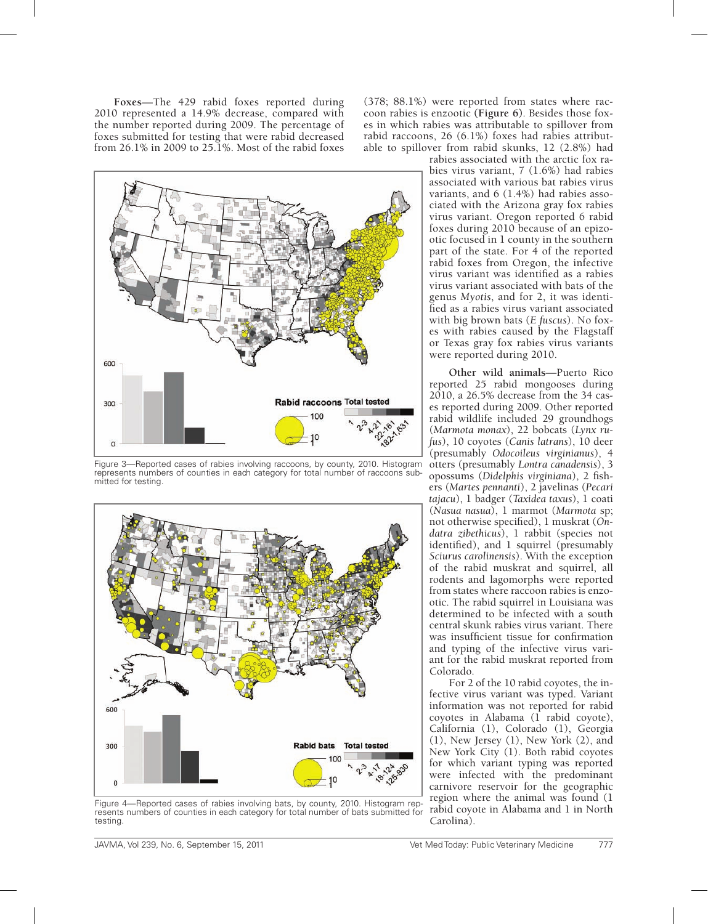**Foxes**—The 429 rabid foxes reported during 2010 represented a 14.9% decrease, compared with the number reported during 2009. The percentage of foxes submitted for testing that were rabid decreased from 26.1% in 2009 to 25.1%. Most of the rabid foxes

(378; 88.1%) were reported from states where raccoon rabies is enzootic **(Figure 6)**. Besides those foxes in which rabies was attributable to spillover from rabid raccoons, 26 (6.1%) foxes had rabies attributable to spillover from rabid skunks, 12 (2.8%) had



Figure 3—Reported cases of rabies involving raccoons, by county, 2010. Histogram represents numbers of counties in each category for total number of raccoons submitted for testing.



Figure 4—Reported cases of rabies involving bats, by county, 2010. Histogram represents numbers of counties in each category for total number of bats submitted for testing.

rabies associated with the arctic fox rabies virus variant, 7 (1.6%) had rabies associated with various bat rabies virus variants, and 6 (1.4%) had rabies associated with the Arizona gray fox rabies virus variant. Oregon reported 6 rabid foxes during 2010 because of an epizootic focused in 1 county in the southern part of the state. For 4 of the reported rabid foxes from Oregon, the infective virus variant was identified as a rabies virus variant associated with bats of the genus *Myotis*, and for 2, it was identified as a rabies virus variant associated with big brown bats (*E fuscus*). No foxes with rabies caused by the Flagstaff or Texas gray fox rabies virus variants were reported during 2010.

**Other wild animals**—Puerto Rico reported 25 rabid mongooses during 2010, a 26.5% decrease from the 34 cases reported during 2009. Other reported rabid wildlife included 29 groundhogs (*Marmota monax*), 22 bobcats (*Lynx rufus*), 10 coyotes (*Canis latrans*), 10 deer (presumably *Odocoileus virginianus*), 4 otters (presumably *Lontra canadensis*), 3 opossums (*Didelphis virginiana*), 2 fishers (*Martes pennanti*), 2 javelinas (*Pecari tajacu*), 1 badger (*Taxidea taxus*), 1 coati (*Nasua nasua*), 1 marmot (*Marmota* sp; not otherwise specified), 1 muskrat (*Ondatra zibethicus*), 1 rabbit (species not identified), and 1 squirrel (presumably *Sciurus carolinensis*). With the exception of the rabid muskrat and squirrel, all rodents and lagomorphs were reported from states where raccoon rabies is enzootic. The rabid squirrel in Louisiana was determined to be infected with a south central skunk rabies virus variant. There was insufficient tissue for confirmation and typing of the infective virus variant for the rabid muskrat reported from Colorado.

For 2 of the 10 rabid coyotes, the infective virus variant was typed. Variant information was not reported for rabid coyotes in Alabama  $(\hat{1}$  rabid coyote), California (1), Colorado (1), Georgia (1), New Jersey (1), New York (2), and New York City (1). Both rabid coyotes for which variant typing was reported were infected with the predominant carnivore reservoir for the geographic region where the animal was found (1 rabid coyote in Alabama and 1 in North Carolina).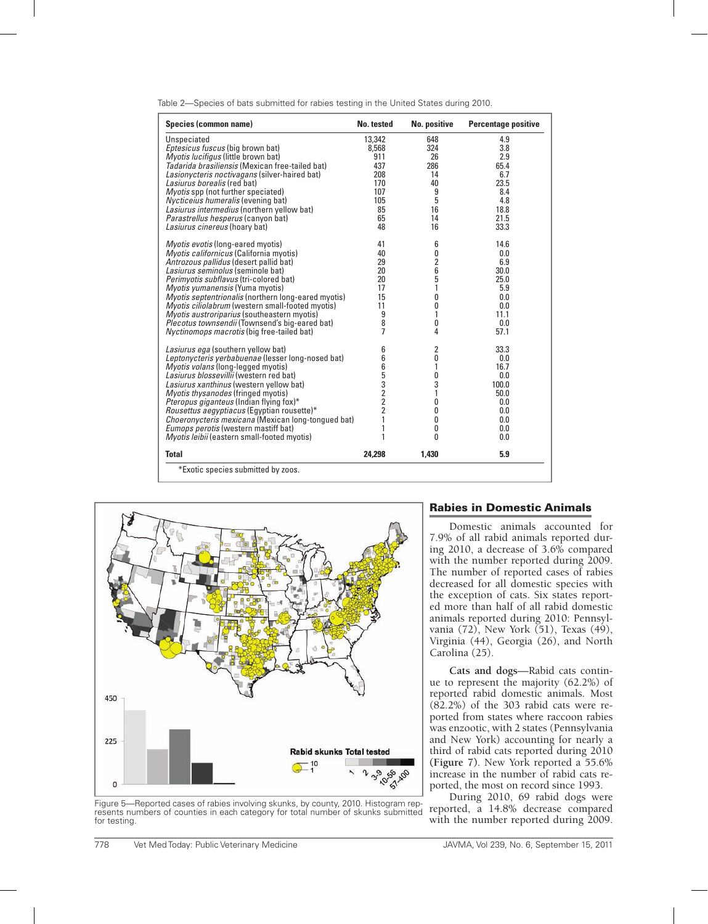| Species (common name)                                      | No. tested     | No. positive | <b>Percentage positive</b> |
|------------------------------------------------------------|----------------|--------------|----------------------------|
| Unspeciated                                                | 13,342         | 648          | 4.9                        |
| Eptesicus fuscus (big brown bat)                           | 8,568          | 324          | 3.8                        |
| Myotis lucifigus (little brown bat)                        | 911            | 26           | 2.9                        |
| Tadarida brasiliensis (Mexican free-tailed bat)            | 437            | 286          | 65.4                       |
| Lasionycteris noctivagans (silver-haired bat)              | 208            | 14           | 6.7                        |
| Lasiurus borealis (red bat)                                | 170            | 40           | 23.5                       |
| <i>Myotis</i> spp (not further speciated)                  | 107            | 9            | 8.4                        |
| Nycticeius humeralis (evening bat)                         | 105            | 5            | 4.8                        |
| Lasiurus intermedius (northern yellow bat)                 | 85             | 16           | 18.8                       |
| Parastrellus hesperus (canyon bat)                         | 65             | 14           | 21.5                       |
| Lasiurus cinereus (hoary bat)                              | 48             | 16           | 33.3                       |
|                                                            |                |              |                            |
| Myotis evotis (long-eared myotis)                          | 41             | 6            | 14.6                       |
| Myotis californicus (California myotis)                    | 40             | 0            | 0.0                        |
| Antrozous pallidus (desert pallid bat)                     | 29             | 2            | 6.9                        |
| Lasiurus seminolus (seminole bat)                          | 20             | 6            | 30.0                       |
| Perimyotis subflavus (tri-colored bat)                     | 20             | 5            | 25.0                       |
| <i>Myotis yumanensis</i> (Yuma myotis)                     | 17             | 1            | 5.9                        |
| <i>Myotis septentrionalis</i> (northern long-eared myotis) | 15             | 0            | 0.0                        |
| <i>Myotis ciliolabrum</i> (western small-footed myotis)    | 11             | 0            | 0.0                        |
| Myotis austroriparius (southeastern myotis)                | 9              | 1            | 11.1                       |
| Plecotus townsendii (Townsend's big-eared bat)             | 8              | 0            | 0.0                        |
| Nyctinomops macrotis (big free-tailed bat)                 | 7              | 4            | 57.1                       |
| Lasiurus ega (southern yellow bat)                         | 6              | 2            | 33.3                       |
| Leptonycteris yerbabuenae (lesser long-nosed bat)          | 6              | 0            | 0.0                        |
| <i>Myotis volans</i> (long-legged myotis)                  | 6              | 1            | 16.7                       |
| Lasiurus blossevillii (western red bat)                    | 5              | 0            | 0.0                        |
| Lasiurus xanthinus (western yellow bat)                    | 3              | 3            | 100.0                      |
| <i>Myotis thysanodes</i> (fringed myotis)                  | 2              | 1            | 50.0                       |
| <i>Pteropus giganteus</i> (Indian flying fox)*             | 2              | 0            | 0.0                        |
| Rousettus aegyptiacus (Egyptian rousette)*                 | $\overline{2}$ | 0            | 0.0                        |
| Choeronycteris mexicana (Mexican long-tongued bat)         | 1              | 0            | 0.0                        |
| Eumops perotis (western mastiff bat)                       | 1              | 0            | 0.0                        |
| Myotis leibii (eastern small-footed myotis)                |                | O            | 0.0                        |
| <b>Total</b>                                               | 24,298         | 1,430        | 5.9                        |
| *Exotic species submitted by zoos.                         |                |              |                            |

Table 2—Species of bats submitted for rabies testing in the United States during 2010.



Figure 5—Reported cases of rabies involving skunks, by county, 2010. Histogram represents numbers of counties in each category for total number of skunks submitted for testing.

#### Rabies in Domestic Animals

Domestic animals accounted for 7.9% of all rabid animals reported during 2010, a decrease of 3.6% compared with the number reported during 2009. The number of reported cases of rabies decreased for all domestic species with the exception of cats. Six states reported more than half of all rabid domestic animals reported during 2010: Pennsylvania (72), New York (51), Texas (49), Virginia (44), Georgia (26), and North Carolina (25).

**Cats and dogs**—Rabid cats continue to represent the majority (62.2%) of reported rabid domestic animals. Most  $(82.2%)$  of the 303 rabid cats were reported from states where raccoon rabies was enzootic, with 2 states (Pennsylvania and New York) accounting for nearly a third of rabid cats reported during 2010 **(Figure 7)**. New York reported a 55.6% increase in the number of rabid cats reported, the most on record since 1993.

During 2010, 69 rabid dogs were reported, a 14.8% decrease compared with the number reported during 2009.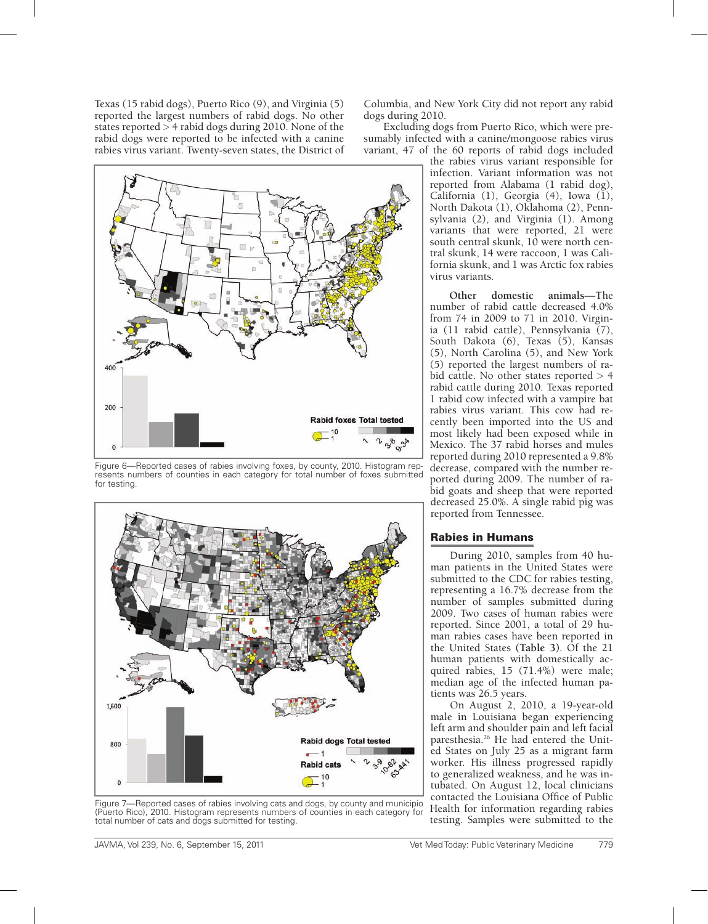Texas (15 rabid dogs), Puerto Rico (9), and Virginia (5) reported the largest numbers of rabid dogs. No other states reported > 4 rabid dogs during 2010. None of the rabid dogs were reported to be infected with a canine rabies virus variant. Twenty-seven states, the District of



Figure 6—Reported cases of rabies involving foxes, by county, 2010. Histogram represents numbers of counties in each category for total number of foxes submitted for testing.



Figure 7—Reported cases of rabies involving cats and dogs, by county and municipio (Puerto Rico), 2010. Histogram represents numbers of counties in each category for total number of cats and dogs submitted for testing.

Columbia, and New York City did not report any rabid dogs during 2010.

Excluding dogs from Puerto Rico, which were presumably infected with a canine/mongoose rabies virus variant, 47 of the 60 reports of rabid dogs included

the rabies virus variant responsible for infection. Variant information was not reported from Alabama (1 rabid dog), California (1), Georgia (4), Iowa  $(\tilde{1})$ , North Dakota (1), Oklahoma (2), Pennsylvania (2), and Virginia (1). Among variants that were reported, 21 were south central skunk,  $10$  were north central skunk, 14 were raccoon, 1 was California skunk, and 1 was Arctic fox rabies virus variants.

**Other domestic animals**—The number of rabid cattle decreased 4.0% from 74 in 2009 to 71 in 2010. Virginia (11 rabid cattle), Pennsylvania (7), South Dakota (6), Texas (5), Kansas (5), North Carolina (5), and New York (5) reported the largest numbers of rabid cattle. No other states reported > 4 rabid cattle during 2010. Texas reported 1 rabid cow infected with a vampire bat rabies virus variant. This cow had recently been imported into the US and most likely had been exposed while in Mexico. The 37 rabid horses and mules reported during 2010 represented a 9.8% decrease, compared with the number reported during 2009. The number of rabid goats and sheep that were reported decreased 25.0%. A single rabid pig was reported from Tennessee.

#### Rabies in Humans

During 2010, samples from 40 human patients in the United States were submitted to the CDC for rabies testing, representing a 16.7% decrease from the number of samples submitted during 2009. Two cases of human rabies were reported. Since 2001, a total of 29 human rabies cases have been reported in the United States **(Table 3)**. Of the 21 human patients with domestically acquired rabies, 15 (71.4%) were male; median age of the infected human patients was 26.5 years.

On August 2, 2010, a 19-year-old male in Louisiana began experiencing left arm and shoulder pain and left facial paresthesia.26 He had entered the United States on July 25 as a migrant farm worker. His illness progressed rapidly to generalized weakness, and he was intubated. On August 12, local clinicians contacted the Louisiana Office of Public Health for information regarding rabies testing. Samples were submitted to the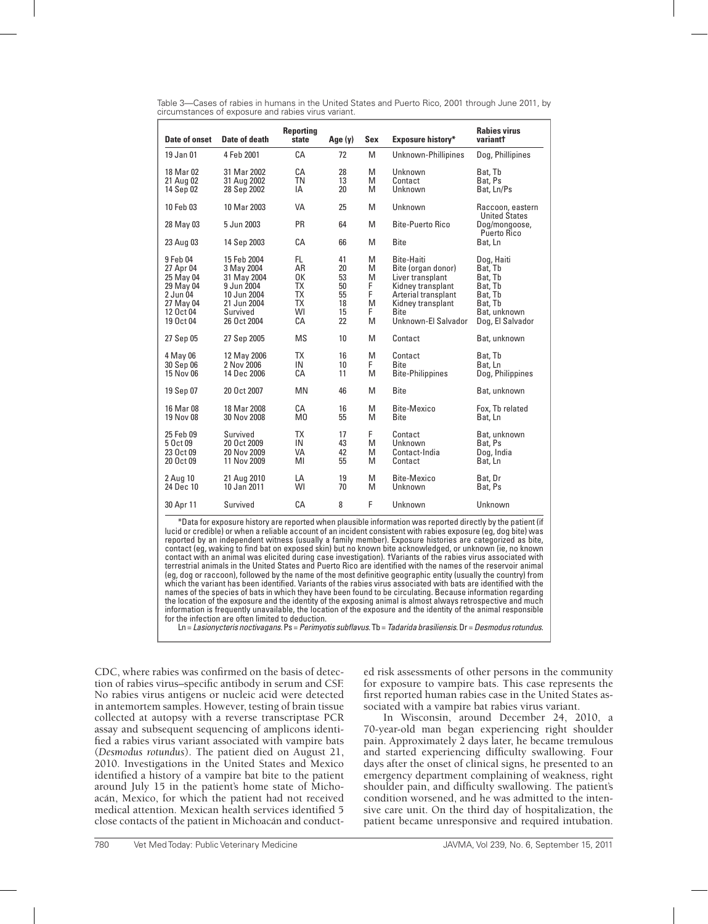Table 3—Cases of rabies in humans in the United States and Puerto Rico, 2001 through June 2011, by circumstances of exposure and rabies virus variant.

| Date of onset                                                                                      | Date of death                                                                                                   | <b>Reporting</b><br>state                                          | Age (y)                                                                               | Sex              | Exposure history*                                                                                                                                            | <b>Rabies virus</b><br>variantt                                                                       |  |  |
|----------------------------------------------------------------------------------------------------|-----------------------------------------------------------------------------------------------------------------|--------------------------------------------------------------------|---------------------------------------------------------------------------------------|------------------|--------------------------------------------------------------------------------------------------------------------------------------------------------------|-------------------------------------------------------------------------------------------------------|--|--|
| 19 Jan 01                                                                                          | 4 Feb 2001                                                                                                      | СA                                                                 | 72                                                                                    | M                | Unknown-Phillipines                                                                                                                                          | Dog, Phillipines                                                                                      |  |  |
| 18 Mar 02<br>21 Aug 02<br>14 Sep 02                                                                | 31 Mar 2002<br>31 Aug 2002<br>28 Sep 2002                                                                       | CA<br><b>TN</b><br>IA                                              | 28<br>13<br>20                                                                        | M<br>M<br>M      | Unknown<br>Contact<br>Unknown                                                                                                                                | Bat, Tb<br>Bat, Ps<br>Bat, Ln/Ps                                                                      |  |  |
| 10 Feb 03                                                                                          | 10 Mar 2003                                                                                                     | VA                                                                 | 25                                                                                    | M                | Unknown                                                                                                                                                      | Raccoon, eastern                                                                                      |  |  |
| 28 May 03                                                                                          | 5 Jun 2003                                                                                                      | <b>PR</b>                                                          | 64                                                                                    | M                | <b>Bite-Puerto Rico</b>                                                                                                                                      | <b>United States</b><br>Dog/mongoose,<br>Puerto Rico                                                  |  |  |
| 23 Aug 03                                                                                          | 14 Sep 2003                                                                                                     | CА                                                                 | 66                                                                                    | M                | <b>Bite</b>                                                                                                                                                  | Bat, Ln                                                                                               |  |  |
| 9 Feb 04<br>27 Apr 04<br>25 May 04<br>29 May 04<br>2 Jun 04<br>27 May 04<br>12 Oct 04<br>19 Oct 04 | 15 Feb 2004<br>3 May 2004<br>31 May 2004<br>9 Jun 2004<br>10 Jun 2004<br>21 Jun 2004<br>Survived<br>26 Oct 2004 | FL.<br>AR<br>0K<br><b>TX</b><br><b>TX</b><br><b>TX</b><br>WI<br>СA | M<br>41<br>20<br>M<br>53<br>M<br>F<br>50<br>F<br>55<br>18<br>M<br>F.<br>15<br>22<br>M |                  | Bite-Haiti<br>Bite (organ donor)<br>Liver transplant<br>Kidney transplant<br>Arterial transplant<br>Kidney transplant<br><b>B</b> ite<br>Unknown-El Salvador | Dog, Haiti<br>Bat, Tb<br>Bat, Tb<br>Bat, Tb<br>Bat, Tb<br>Bat, Tb<br>Bat, unknown<br>Dog, El Salvador |  |  |
| 27 Sep 05                                                                                          | 27 Sep 2005                                                                                                     | <b>MS</b>                                                          | 10                                                                                    | M                | Contact                                                                                                                                                      | Bat, unknown                                                                                          |  |  |
| 4 May 06<br>30 Sep 06<br>15 Nov 06                                                                 | 12 May 2006<br>2 Nov 2006<br>14 Dec 2006                                                                        | <b>TX</b><br>IN<br>СA                                              | 16<br>10<br>11                                                                        | M<br>F.<br>M     | Contact<br><b>B</b> ite<br><b>Bite-Philippines</b>                                                                                                           | Bat, Tb<br>Bat, Ln<br>Dog, Philippines                                                                |  |  |
| 19 Sep 07                                                                                          | 20 Oct 2007                                                                                                     | <b>MN</b>                                                          | 46                                                                                    | M                | <b>B</b> ite                                                                                                                                                 | Bat, unknown                                                                                          |  |  |
| 16 Mar 08<br>19 Nov 08                                                                             | 18 Mar 2008<br>30 Nov 2008                                                                                      | СA<br>M <sub>0</sub>                                               | 16<br>55                                                                              | M<br>M           | Bite-Mexico<br><b>Bite</b>                                                                                                                                   | Fox, Tb related<br>Bat, Ln                                                                            |  |  |
| 25 Feb 09<br>5 Oct 09<br>23 Oct 09<br>20 Oct 09                                                    | Survived<br>20 Oct 2009<br>20 Nov 2009<br>11 Nov 2009                                                           | <b>TX</b><br>IN<br>VA<br>MI                                        | 17<br>43<br>42<br>55                                                                  | F<br>M<br>M<br>M | Contact<br>Unknown<br>Contact-India<br>Contact                                                                                                               | Bat, unknown<br>Bat, Ps<br>Dog, India<br>Bat, Ln                                                      |  |  |
| 2 Aug 10<br>24 Dec 10                                                                              | 21 Aug 2010<br>10 Jan 2011                                                                                      | LA<br>WI                                                           | 19<br>70                                                                              | M<br>M           | Bite-Mexico<br>Unknown                                                                                                                                       | Bat, Dr<br>Bat, Ps                                                                                    |  |  |
| 30 Apr 11                                                                                          | Survived                                                                                                        | CA                                                                 | 8                                                                                     | F                | Unknown                                                                                                                                                      | Unknown                                                                                               |  |  |

\*Data for exposure history are reported when plausible information was reported directly by the patient (if lucid or credible) or when a reliable account of an incident consistent with rabies exposure (eg, dog bite) was reported by an independent witness (usually a family member). Exposure histories are categorized as bite, contact (eg, waking to find bat on exposed skin) but no known bite acknowledged, or unknown (ie, no known contact with an animal was elicited during case investigation). †Variants of the rabies virus associated with terrestrial animals in the United States and Puerto Rico are identified with the names of the reservoir animal (eg, dog or raccoon), followed by the name of the most definitive geographic entity (usually the country) from which the variant has been identified. Variants of the rabies virus associated with bats are identified with the names of the species of bats in which they have been found to be circulating. Because information regarding the location of the exposure and the identity of the exposing animal is almost always retrospective and much information is frequently unavailable, the location of the exposure and the identity of the animal responsible for the infection are often limited to deduction.

Ln = *Lasionycteris noctivagans*. Ps = *Perimyotis subflavus*. Tb = *Tadarida brasiliensis*. Dr = *Desmodus rotundus*.

CDC, where rabies was confirmed on the basis of detection of rabies virus–specific antibody in serum and CSF. No rabies virus antigens or nucleic acid were detected in antemortem samples. However, testing of brain tissue collected at autopsy with a reverse transcriptase PCR assay and subsequent sequencing of amplicons identified a rabies virus variant associated with vampire bats (*Desmodus rotundus*). The patient died on August 21, 2010. Investigations in the United States and Mexico identified a history of a vampire bat bite to the patient around July 15 in the patient's home state of Michoacán, Mexico, for which the patient had not received medical attention. Mexican health services identified 5 close contacts of the patient in Michoacán and conduct-

ed risk assessments of other persons in the community for exposure to vampire bats. This case represents the first reported human rabies case in the United States associated with a vampire bat rabies virus variant.

In Wisconsin, around December 24, 2010, a 70-year-old man began experiencing right shoulder pain. Approximately 2 days later, he became tremulous and started experiencing difficulty swallowing. Four days after the onset of clinical signs, he presented to an emergency department complaining of weakness, right shoulder pain, and difficulty swallowing. The patient's condition worsened, and he was admitted to the intensive care unit. On the third day of hospitalization, the patient became unresponsive and required intubation.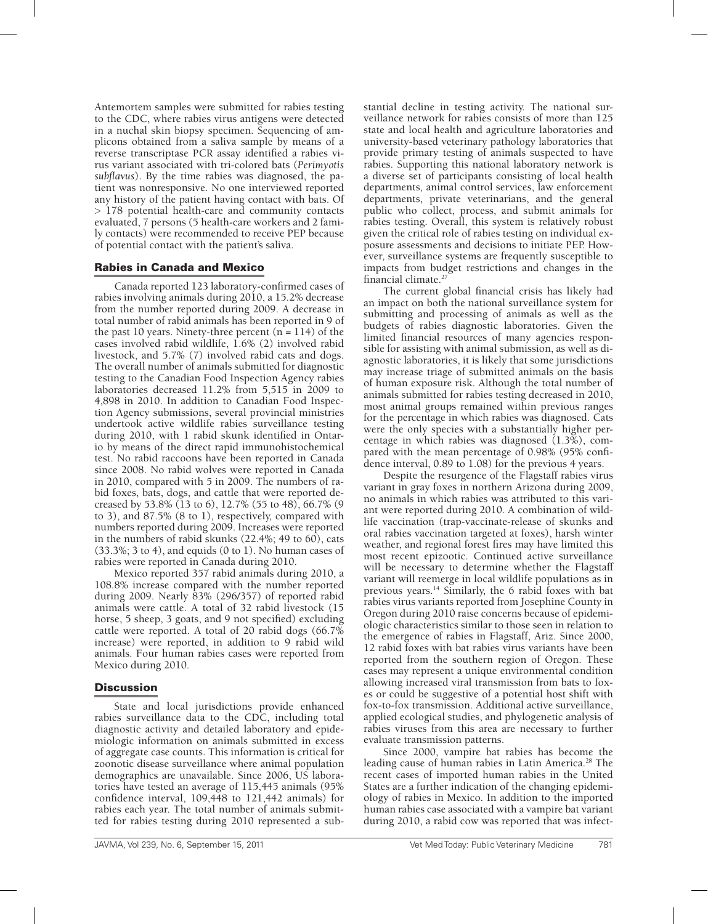Antemortem samples were submitted for rabies testing to the CDC, where rabies virus antigens were detected in a nuchal skin biopsy specimen. Sequencing of amplicons obtained from a saliva sample by means of a reverse transcriptase PCR assay identified a rabies virus variant associated with tri-colored bats (*Perimyotis subflavus*). By the time rabies was diagnosed, the patient was nonresponsive. No one interviewed reported any history of the patient having contact with bats. Of > 178 potential health-care and community contacts evaluated, 7 persons (5 health-care workers and 2 family contacts) were recommended to receive PEP because of potential contact with the patient's saliva.

# Rabies in Canada and Mexico

Canada reported 123 laboratory-confirmed cases of rabies involving animals during 2010, a 15.2% decrease from the number reported during 2009. A decrease in total number of rabid animals has been reported in 9 of the past 10 years. Ninety-three percent  $(n = 114)$  of the cases involved rabid wildlife, 1.6% (2) involved rabid livestock, and 5.7% (7) involved rabid cats and dogs. The overall number of animals submitted for diagnostic testing to the Canadian Food Inspection Agency rabies laboratories decreased 11.2% from 5,515 in 2009 to 4,898 in 2010. In addition to Canadian Food Inspection Agency submissions, several provincial ministries undertook active wildlife rabies surveillance testing during 2010, with 1 rabid skunk identified in Ontario by means of the direct rapid immunohistochemical test. No rabid raccoons have been reported in Canada since 2008. No rabid wolves were reported in Canada in 2010, compared with 5 in 2009. The numbers of rabid foxes, bats, dogs, and cattle that were reported decreased by 53.8% (13 to 6), 12.7% (55 to 48), 66.7% (9 to 3), and 87.5% (8 to 1), respectively, compared with numbers reported during 2009. Increases were reported in the numbers of rabid skunks (22.4%; 49 to 60), cats  $(33.3\%; 3 \text{ to } 4)$ , and equids  $(0 \text{ to } 1)$ . No human cases of rabies were reported in Canada during 2010.

Mexico reported 357 rabid animals during 2010, a 108.8% increase compared with the number reported during 2009. Nearly 83% (296/357) of reported rabid animals were cattle. A total of 32 rabid livestock (15 horse, 5 sheep, 3 goats, and 9 not specified) excluding cattle were reported. A total of 20 rabid dogs (66.7% increase) were reported, in addition to 9 rabid wild animals. Four human rabies cases were reported from Mexico during 2010.

# **Discussion**

State and local jurisdictions provide enhanced rabies surveillance data to the CDC, including total diagnostic activity and detailed laboratory and epidemiologic information on animals submitted in excess of aggregate case counts. This information is critical for zoonotic disease surveillance where animal population demographics are unavailable. Since 2006, US laboratories have tested an average of 115,445 animals (95% confidence interval, 109,448 to 121,442 animals) for rabies each year. The total number of animals submitted for rabies testing during 2010 represented a substantial decline in testing activity. The national surveillance network for rabies consists of more than 125 state and local health and agriculture laboratories and university-based veterinary pathology laboratories that provide primary testing of animals suspected to have rabies. Supporting this national laboratory network is a diverse set of participants consisting of local health departments, animal control services, law enforcement departments, private veterinarians, and the general public who collect, process, and submit animals for rabies testing. Overall, this system is relatively robust given the critical role of rabies testing on individual exposure assessments and decisions to initiate PEP. However, surveillance systems are frequently susceptible to impacts from budget restrictions and changes in the financial climate.<sup>2</sup>

The current global financial crisis has likely had an impact on both the national surveillance system for submitting and processing of animals as well as the budgets of rabies diagnostic laboratories. Given the limited financial resources of many agencies responsible for assisting with animal submission, as well as diagnostic laboratories, it is likely that some jurisdictions may increase triage of submitted animals on the basis of human exposure risk. Although the total number of animals submitted for rabies testing decreased in 2010, most animal groups remained within previous ranges for the percentage in which rabies was diagnosed. Cats were the only species with a substantially higher percentage in which rabies was diagnosed (1.3%), compared with the mean percentage of 0.98% (95% confidence interval, 0.89 to 1.08) for the previous 4 years.

Despite the resurgence of the Flagstaff rabies virus variant in gray foxes in northern Arizona during 2009, no animals in which rabies was attributed to this variant were reported during 2010. A combination of wildlife vaccination (trap-vaccinate-release of skunks and oral rabies vaccination targeted at foxes), harsh winter weather, and regional forest fires may have limited this most recent epizootic. Continued active surveillance will be necessary to determine whether the Flagstaff variant will reemerge in local wildlife populations as in previous years.14 Similarly, the 6 rabid foxes with bat rabies virus variants reported from Josephine County in Oregon during 2010 raise concerns because of epidemiologic characteristics similar to those seen in relation to the emergence of rabies in Flagstaff, Ariz. Since 2000, 12 rabid foxes with bat rabies virus variants have been reported from the southern region of Oregon. These cases may represent a unique environmental condition allowing increased viral transmission from bats to foxes or could be suggestive of a potential host shift with fox-to-fox transmission. Additional active surveillance, applied ecological studies, and phylogenetic analysis of rabies viruses from this area are necessary to further evaluate transmission patterns.

Since 2000, vampire bat rabies has become the leading cause of human rabies in Latin America.<sup>28</sup> The recent cases of imported human rabies in the United States are a further indication of the changing epidemiology of rabies in Mexico. In addition to the imported human rabies case associated with a vampire bat variant during 2010, a rabid cow was reported that was infect-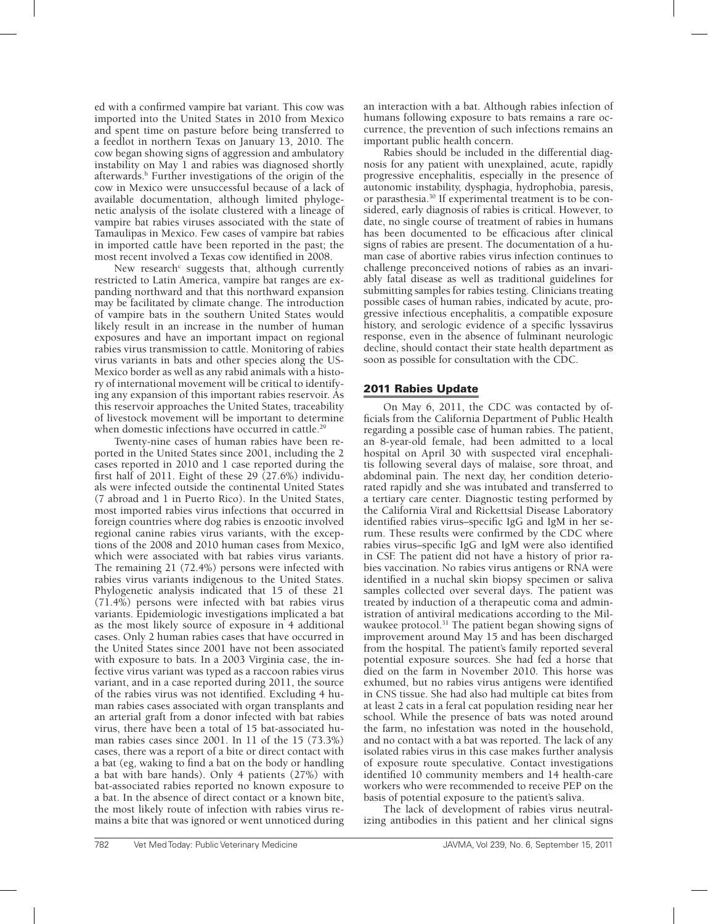ed with a confirmed vampire bat variant. This cow was imported into the United States in 2010 from Mexico and spent time on pasture before being transferred to a feedlot in northern Texas on January 13, 2010. The cow began showing signs of aggression and ambulatory instability on May 1 and rabies was diagnosed shortly afterwards.<sup>b</sup> Further investigations of the origin of the cow in Mexico were unsuccessful because of a lack of available documentation, although limited phylogenetic analysis of the isolate clustered with a lineage of vampire bat rabies viruses associated with the state of Tamaulipas in Mexico. Few cases of vampire bat rabies in imported cattle have been reported in the past; the most recent involved a Texas cow identified in 2008.

New research<sup>c</sup> suggests that, although currently restricted to Latin America, vampire bat ranges are expanding northward and that this northward expansion may be facilitated by climate change. The introduction of vampire bats in the southern United States would likely result in an increase in the number of human exposures and have an important impact on regional rabies virus transmission to cattle. Monitoring of rabies virus variants in bats and other species along the US-Mexico border as well as any rabid animals with a history of international movement will be critical to identifying any expansion of this important rabies reservoir. As this reservoir approaches the United States, traceability of livestock movement will be important to determine when domestic infections have occurred in cattle.<sup>29</sup>

Twenty-nine cases of human rabies have been reported in the United States since 2001, including the 2 cases reported in 2010 and 1 case reported during the first half of 2011. Eight of these 29  $(27.6%)$  individuals were infected outside the continental United States (7 abroad and 1 in Puerto Rico). In the United States, most imported rabies virus infections that occurred in foreign countries where dog rabies is enzootic involved regional canine rabies virus variants, with the exceptions of the 2008 and 2010 human cases from Mexico, which were associated with bat rabies virus variants. The remaining 21 (72.4%) persons were infected with rabies virus variants indigenous to the United States. Phylogenetic analysis indicated that 15 of these 21 (71.4%) persons were infected with bat rabies virus variants. Epidemiologic investigations implicated a bat as the most likely source of exposure in 4 additional cases. Only 2 human rabies cases that have occurred in the United States since 2001 have not been associated with exposure to bats. In a 2003 Virginia case, the infective virus variant was typed as a raccoon rabies virus variant, and in a case reported during 2011, the source of the rabies virus was not identified. Excluding 4 human rabies cases associated with organ transplants and an arterial graft from a donor infected with bat rabies virus, there have been a total of 15 bat-associated human rabies cases since 2001. In 11 of the 15 (73.3%) cases, there was a report of a bite or direct contact with a bat (eg, waking to find a bat on the body or handling a bat with bare hands). Only 4 patients (27%) with bat-associated rabies reported no known exposure to a bat. In the absence of direct contact or a known bite, the most likely route of infection with rabies virus remains a bite that was ignored or went unnoticed during

an interaction with a bat. Although rabies infection of humans following exposure to bats remains a rare occurrence, the prevention of such infections remains an important public health concern.

Rabies should be included in the differential diagnosis for any patient with unexplained, acute, rapidly progressive encephalitis, especially in the presence of autonomic instability, dysphagia, hydrophobia, paresis, or parasthesia.30 If experimental treatment is to be considered, early diagnosis of rabies is critical. However, to date, no single course of treatment of rabies in humans has been documented to be efficacious after clinical signs of rabies are present. The documentation of a human case of abortive rabies virus infection continues to challenge preconceived notions of rabies as an invariably fatal disease as well as traditional guidelines for submitting samples for rabies testing. Clinicians treating possible cases of human rabies, indicated by acute, progressive infectious encephalitis, a compatible exposure history, and serologic evidence of a specific lyssavirus response, even in the absence of fulminant neurologic decline, should contact their state health department as soon as possible for consultation with the CDC.

#### 2011 Rabies Update

On May 6, 2011, the CDC was contacted by officials from the California Department of Public Health regarding a possible case of human rabies. The patient, an 8-year-old female, had been admitted to a local hospital on April 30 with suspected viral encephalitis following several days of malaise, sore throat, and abdominal pain. The next day, her condition deteriorated rapidly and she was intubated and transferred to a tertiary care center. Diagnostic testing performed by the California Viral and Rickettsial Disease Laboratory identified rabies virus–specific IgG and IgM in her serum. These results were confirmed by the CDC where rabies virus–specific IgG and IgM were also identified in CSF. The patient did not have a history of prior rabies vaccination. No rabies virus antigens or RNA were identified in a nuchal skin biopsy specimen or saliva samples collected over several days. The patient was treated by induction of a therapeutic coma and administration of antiviral medications according to the Milwaukee protocol.31 The patient began showing signs of improvement around May 15 and has been discharged from the hospital. The patient's family reported several potential exposure sources. She had fed a horse that died on the farm in November 2010. This horse was exhumed, but no rabies virus antigens were identified in CNS tissue. She had also had multiple cat bites from at least 2 cats in a feral cat population residing near her school. While the presence of bats was noted around the farm, no infestation was noted in the household, and no contact with a bat was reported. The lack of any isolated rabies virus in this case makes further analysis of exposure route speculative. Contact investigations identified 10 community members and 14 health-care workers who were recommended to receive PEP on the basis of potential exposure to the patient's saliva.

The lack of development of rabies virus neutralizing antibodies in this patient and her clinical signs